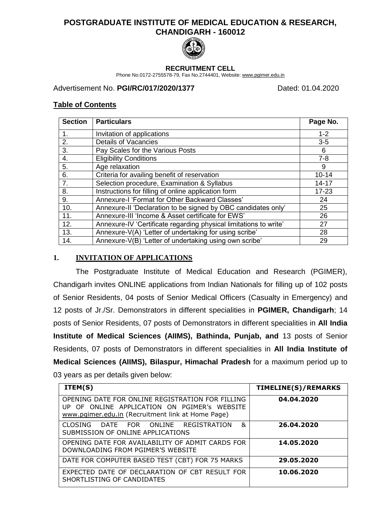# **POSTGRADUATE INSTITUTE OF MEDICAL EDUCATION & RESEARCH, CHANDIGARH - 160012**



#### **RECRUITMENT CELL**

Phone No.0172-2755578-79, Fax No.2744401, Website: [www.pgimer.edu.in](http://www.pgimer.edu.in/)

### Advertisement No. **PGI/RC/017/2020/1377** Dated: 01.04.2020

### **Table of Contents**

| <b>Section</b> | <b>Particulars</b>                                                | Page No.  |
|----------------|-------------------------------------------------------------------|-----------|
| 1.             | Invitation of applications                                        | $1 - 2$   |
| 2.             | <b>Details of Vacancies</b>                                       | $3-5$     |
| 3.             | Pay Scales for the Various Posts                                  | 6         |
| 4.             | <b>Eligibility Conditions</b>                                     | $7 - 8$   |
| 5.             | Age relaxation                                                    | 9         |
| 6.             | Criteria for availing benefit of reservation                      | $10 - 14$ |
| 7.             | Selection procedure, Examination & Syllabus                       | $14 - 17$ |
| 8.             | Instructions for filling of online application form               | $17 - 23$ |
| 9.             | Annexure-I 'Format for Other Backward Classes'                    | 24        |
| 10.            | Annexure-II 'Declaration to be signed by OBC candidates only'     | 25        |
| 11.            | Annexure-III 'Income & Asset certificate for EWS'                 | 26        |
| 12.            | Annexure-IV 'Certificate regarding physical limitations to write' | 27        |
| 13.            | Annexure-V(A) 'Letter of undertaking for using scribe'            | 28        |
| 14.            | Annexure-V(B) 'Letter of undertaking using own scribe'            | 29        |

## **1. INVITATION OF APPLICATIONS**

The Postgraduate Institute of Medical Education and Research (PGIMER), Chandigarh invites ONLINE applications from Indian Nationals for filling up of 102 posts of Senior Residents, 04 posts of Senior Medical Officers (Casualty in Emergency) and 12 posts of Jr./Sr. Demonstrators in different specialities in **PGIMER, Chandigarh**; 14 posts of Senior Residents, 07 posts of Demonstrators in different specialities in **All India Institute of Medical Sciences (AIIMS), Bathinda, Punjab, and** 13 posts of Senior Residents, 07 posts of Demonstrators in different specialities in **All India Institute of Medical Sciences (AIIMS), Bilaspur, Himachal Pradesh** for a maximum period up to 03 years as per details given below:

| ITEM(S)                                                                                                                                               | TIMELINE(S)/REMARKS |
|-------------------------------------------------------------------------------------------------------------------------------------------------------|---------------------|
| OPENING DATE FOR ONLINE REGISTRATION FOR FILLING<br>UP OF ONLINE APPLICATION ON PGIMER'S WEBSITE<br>www.pgimer.edu.in (Recruitment link at Home Page) | 04.04.2020          |
| &<br>DATE FOR ONLINE REGISTRATION<br><b>CLOSING</b><br>SUBMISSION OF ONLINE APPLICATIONS                                                              | 26.04.2020          |
| OPENING DATE FOR AVAILABILITY OF ADMIT CARDS FOR<br>DOWNLOADING FROM PGIMER'S WEBSITE                                                                 | 14.05.2020          |
| DATE FOR COMPUTER BASED TEST (CBT) FOR 75 MARKS                                                                                                       | 29.05.2020          |
| EXPECTED DATE OF DECLARATION OF CBT RESULT FOR<br>SHORTLISTING OF CANDIDATES                                                                          | 10.06.2020          |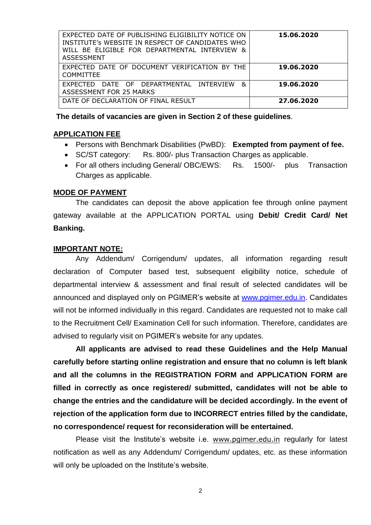| EXPECTED DATE OF PUBLISHING ELIGIBILITY NOTICE ON<br>INSTITUTE's WEBSITE IN RESPECT OF CANDIDATES WHO<br>WILL BE ELIGIBLE FOR DEPARTMENTAL INTERVIEW &<br><b>ASSESSMENT</b> | 15.06.2020 |
|-----------------------------------------------------------------------------------------------------------------------------------------------------------------------------|------------|
| EXPECTED DATE OF DOCUMENT VERIFICATION BY THE<br><b>COMMITTEE</b>                                                                                                           | 19.06.2020 |
| DATE OF DEPARTMENTAL INTERVIEW<br>&<br><b>FXPECTED</b><br>ASSESSMENT FOR 25 MARKS                                                                                           | 19.06.2020 |
| DATE OF DECLARATION OF FINAL RESULT                                                                                                                                         | 27.06.2020 |

**The details of vacancies are given in Section 2 of these guidelines**.

### **APPLICATION FEE**

- Persons with Benchmark Disabilities (PwBD): **Exempted from payment of fee.**
- SC/ST category: Rs. 800/- plus Transaction Charges as applicable.
- For all others including General/ OBC/EWS: Rs. 1500/- plus Transaction Charges as applicable.

#### **MODE OF PAYMENT**

The candidates can deposit the above application fee through online payment gateway available at the APPLICATION PORTAL using **Debit/ Credit Card/ Net Banking.** 

#### **IMPORTANT NOTE:**

Any Addendum/ Corrigendum/ updates, all information regarding result declaration of Computer based test, subsequent eligibility notice, schedule of departmental interview & assessment and final result of selected candidates will be announced and displayed only on PGIMER's website at [www.pgimer.edu.in.](http://www.pgimer.edu.in/) Candidates will not be informed individually in this regard. Candidates are requested not to make call to the Recruitment Cell/ Examination Cell for such information. Therefore, candidates are advised to regularly visit on PGIMER's website for any updates.

**All applicants are advised to read these Guidelines and the Help Manual carefully before starting online registration and ensure that no column is left blank and all the columns in the REGISTRATION FORM and APPLICATION FORM are filled in correctly as once registered/ submitted, candidates will not be able to change the entries and the candidature will be decided accordingly. In the event of rejection of the application form due to INCORRECT entries filled by the candidate, no correspondence/ request for reconsideration will be entertained.**

Please visit the Institute's website i.e. [www.pgimer.edu.in](http://www.pgimer.edu.in/) regularly for latest notification as well as any Addendum/ Corrigendum/ updates, etc. as these information will only be uploaded on the Institute's website.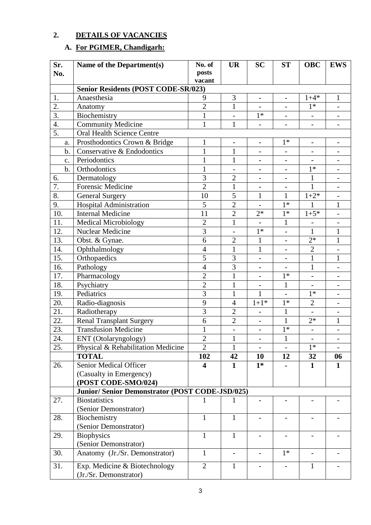# **2. DETAILS OF VACANCIES**

# **A. For PGIMER, Chandigarh:**

| Sr.              | Name of the Department(s)                               | No. of         | <b>UR</b>                | <b>SC</b>                | <b>ST</b>                    | <b>OBC</b>               | <b>EWS</b>               |
|------------------|---------------------------------------------------------|----------------|--------------------------|--------------------------|------------------------------|--------------------------|--------------------------|
| No.              |                                                         | posts          |                          |                          |                              |                          |                          |
|                  |                                                         | vacant         |                          |                          |                              |                          |                          |
|                  | <b>Senior Residents (POST CODE-SR/023)</b>              |                |                          |                          |                              |                          |                          |
| 1.               | Anaesthesia                                             | 9              | 3                        | $\blacksquare$           | $\overline{\phantom{a}}$     | $1 + 4*$                 | $\mathbf{1}$             |
| 2.               | Anatomy                                                 | $\overline{2}$ | $\mathbf{1}$             |                          |                              | $1*$                     |                          |
| $\overline{3}$ . | Biochemistry                                            | $\mathbf{1}$   | $\overline{\phantom{a}}$ | $1*$                     | $\overline{\phantom{0}}$     | $\overline{\phantom{0}}$ | $\overline{a}$           |
| 4.               | <b>Community Medicine</b>                               | $\mathbf{1}$   | $\mathbf{1}$             | $\overline{\phantom{a}}$ | $\overline{\phantom{a}}$     | $\overline{\phantom{a}}$ | $\overline{a}$           |
| $\overline{5}$ . | <b>Oral Health Science Centre</b>                       |                |                          |                          |                              |                          |                          |
| a.               | Prosthodontics Crown & Bridge                           | $\mathbf{1}$   | $\overline{\phantom{a}}$ | $\overline{\phantom{a}}$ | $1*$                         | $\overline{\phantom{0}}$ | $\overline{\phantom{a}}$ |
| b.               | Conservative & Endodontics                              | $\mathbf{1}$   | $\mathbf{1}$             | $\overline{\phantom{0}}$ | $\overline{a}$               | $\overline{a}$           | $\overline{a}$           |
| c.               | Periodontics                                            | $\mathbf{1}$   | $\mathbf{1}$             | $\overline{\phantom{a}}$ | $\overline{\phantom{0}}$     |                          | $\overline{\phantom{0}}$ |
| b.               | Orthodontics                                            | $\mathbf{1}$   | $\overline{\phantom{a}}$ | $\overline{\phantom{a}}$ | $\overline{\phantom{a}}$     | $1*$                     | $\overline{\phantom{a}}$ |
| 6.               | Dermatology                                             | 3              | $\overline{2}$           | $\overline{\phantom{a}}$ | $\overline{\phantom{0}}$     | 1                        | $\overline{\phantom{0}}$ |
| 7.               | <b>Forensic Medicine</b>                                | $\overline{2}$ | $\mathbf{1}$             | $\overline{\phantom{a}}$ | $\qquad \qquad \blacksquare$ | $\mathbf{1}$             | $\overline{\phantom{a}}$ |
| 8.               | <b>General Surgery</b>                                  | 10             | 5                        | 1                        | $\mathbf{1}$                 | $1+2*$                   |                          |
| 9.               | <b>Hospital Administration</b>                          | 5              | $\overline{2}$           |                          | $1*$                         | $\mathbf{1}$             | $\mathbf{1}$             |
| 10.              | <b>Internal Medicine</b>                                | 11             | $\overline{2}$           | $2*$                     | $1*$                         | $1 + 5*$                 | $\overline{a}$           |
| 11.              | <b>Medical Microbiology</b>                             | $\overline{2}$ | $\mathbf{1}$             | $\overline{\phantom{0}}$ | $\mathbf{1}$                 | $\qquad \qquad -$        | $\overline{\phantom{0}}$ |
| 12.              | Nuclear Medicine                                        | $\overline{3}$ | $\overline{\phantom{a}}$ | $1*$                     | $\qquad \qquad -$            | $\mathbf{1}$             | $\mathbf{1}$             |
| 13.              | Obst. & Gynae.                                          | $\overline{6}$ | $\overline{2}$           | $\mathbf{1}$             | $\overline{\phantom{a}}$     | $2*$                     | $\mathbf{1}$             |
| 14.              | Ophthalmology                                           | $\overline{4}$ | $\mathbf{1}$             | $\mathbf{1}$             | $\overline{\phantom{a}}$     | $\overline{2}$           | $\overline{a}$           |
| 15.              | Orthopaedics                                            | 5              | 3                        | $\overline{\phantom{0}}$ | $\overline{\phantom{a}}$     | $\mathbf{1}$             | $\mathbf{1}$             |
| 16.              | Pathology                                               | $\overline{4}$ | 3                        | $\overline{\phantom{0}}$ | $\overline{a}$               | $\mathbf{1}$             |                          |
| 17.              | Pharmacology                                            | $\overline{c}$ | $\mathbf{1}$             |                          | $1*$                         | $\overline{\phantom{0}}$ | $\overline{\phantom{0}}$ |
| 18.              | Psychiatry                                              | $\overline{2}$ | $\mathbf{1}$             | $\overline{\phantom{a}}$ | $\mathbf{1}$                 | $\overline{a}$           | $\qquad \qquad -$        |
| 19.              | Pediatrics                                              | 3              | $\mathbf{1}$             | $\mathbf{1}$             | $\overline{\phantom{0}}$     | $1*$                     |                          |
| 20.              | Radio-diagnosis                                         | 9              | $\overline{4}$           | $1 + 1*$                 | $1*$                         | $\overline{2}$           | $\qquad \qquad -$        |
| 21.              | Radiotherapy                                            | 3              | $\overline{2}$           |                          | 1                            | $\overline{a}$           |                          |
| 22.              | <b>Renal Transplant Surgery</b>                         | 6              | $\overline{2}$           | $\overline{\phantom{a}}$ | $\mathbf{1}$                 | $2*$                     | $\mathbf{1}$             |
| 23.              | <b>Transfusion Medicine</b>                             | $\mathbf{1}$   | $\overline{\phantom{a}}$ | $\qquad \qquad -$        | $1*$                         | $\overline{\phantom{0}}$ | $\qquad \qquad -$        |
| 24.              | ENT (Otolaryngology)                                    | $\overline{2}$ | $\mathbf{1}$             |                          | $\mathbf{1}$                 |                          |                          |
| 25.              | Physical & Rehabilitation Medicine                      | $\overline{2}$ | $\mathbf{1}$             |                          |                              | $1*$                     |                          |
|                  | <b>TOTAL</b>                                            | 102            | 42                       | 10                       | 12                           | 32                       | 06                       |
| 26.              | Senior Medical Officer                                  | 4              | $\mathbf{1}$             | $1*$                     |                              | 1                        | 1                        |
|                  | (Casualty in Emergency)                                 |                |                          |                          |                              |                          |                          |
|                  | (POST CODE-SMO/024)                                     |                |                          |                          |                              |                          |                          |
|                  | Junior/Senior Demonstrator (POST CODE-JSD/025)          |                |                          |                          |                              |                          |                          |
| 27.              | <b>Biostatistics</b>                                    | 1              | 1                        | $\overline{\phantom{a}}$ |                              |                          |                          |
|                  | (Senior Demonstrator)                                   |                |                          |                          |                              |                          |                          |
| 28.              | Biochemistry                                            | $\mathbf{1}$   | $\mathbf{1}$             |                          |                              |                          |                          |
|                  | (Senior Demonstrator)                                   |                |                          |                          |                              |                          |                          |
| 29.              | Biophysics                                              | $\mathbf{1}$   | $\mathbf{1}$             | $\overline{\phantom{a}}$ |                              | $\overline{\phantom{0}}$ |                          |
|                  | (Senior Demonstrator)                                   |                |                          |                          |                              |                          |                          |
| 30.              | Anatomy (Jr./Sr. Demonstrator)                          | $\mathbf{1}$   |                          |                          | $1*$                         |                          |                          |
| 31.              | Exp. Medicine & Biotechnology<br>(Jr./Sr. Demonstrator) | $\overline{2}$ | $\mathbf{1}$             |                          |                              | $\mathbf{1}$             |                          |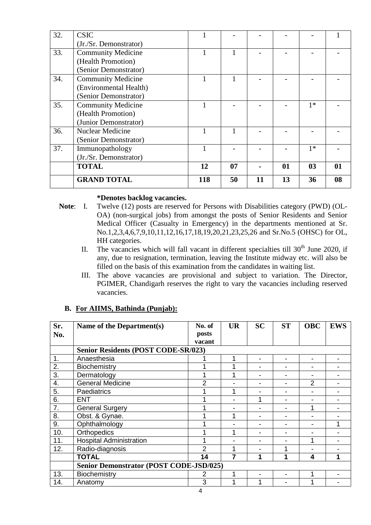| 32. | <b>CSIC</b>               |     |    |    |    |                |    |
|-----|---------------------------|-----|----|----|----|----------------|----|
|     | (Jr./Sr. Demonstrator)    |     |    |    |    |                |    |
| 33. | <b>Community Medicine</b> |     |    |    |    |                |    |
|     | (Health Promotion)        |     |    |    |    |                |    |
|     | (Senior Demonstrator)     |     |    |    |    |                |    |
| 34. | <b>Community Medicine</b> |     |    |    |    |                |    |
|     | (Environmental Health)    |     |    |    |    |                |    |
|     | (Senior Demonstrator)     |     |    |    |    |                |    |
| 35. | <b>Community Medicine</b> |     |    |    |    | $1*$           |    |
|     | (Health Promotion)        |     |    |    |    |                |    |
|     | (Junior Demonstrator)     |     |    |    |    |                |    |
| 36. | <b>Nuclear Medicine</b>   |     |    |    |    |                |    |
|     | (Senior Demonstrator)     |     |    |    |    |                |    |
| 37. | Immunopathology           |     |    |    |    | $1*$           |    |
|     | (Jr./Sr. Demonstrator)    |     |    |    |    |                |    |
|     | <b>TOTAL</b>              | 12  | 07 |    | 01 | 0 <sub>3</sub> | 01 |
|     | <b>GRAND TOTAL</b>        | 118 | 50 | 11 | 13 | 36             | 08 |

#### **\*Denotes backlog vacancies.**

- **Note**: I. Twelve (12) posts are reserved for Persons with Disabilities category (PWD) (OL-OA) (non-surgical jobs) from amongst the posts of Senior Residents and Senior Medical Officer (Casualty in Emergency) in the departments mentioned at Sr. No.1,2,3,4,6,7,9,10,11,12,16,17,18,19,20,21,23,25,26 and Sr.No.5 (OHSC) for OL, HH categories.
	- II. The vacancies which will fall vacant in different specialties till  $30<sup>th</sup>$  June 2020, if any, due to resignation, termination, leaving the Institute midway etc. will also be filled on the basis of this examination from the candidates in waiting list.
	- III. The above vacancies are provisional and subject to variation. The Director, PGIMER, Chandigarh reserves the right to vary the vacancies including reserved vacancies.

| Sr.<br>No. | Name of the Department(s)                      | No. of<br>posts<br>vacant | <b>UR</b> | <b>SC</b> | <b>ST</b>      | <b>OBC</b>     | <b>EWS</b> |
|------------|------------------------------------------------|---------------------------|-----------|-----------|----------------|----------------|------------|
|            | <b>Senior Residents (POST CODE-SR/023)</b>     |                           |           |           |                |                |            |
| 1.         | Anaesthesia                                    |                           |           |           | $\blacksquare$ |                |            |
| 2.         | Biochemistry                                   |                           |           |           |                |                |            |
| 3.         | Dermatology                                    |                           | 4         |           | -              |                |            |
| 4.         | <b>General Medicine</b>                        | 2                         |           |           | $\blacksquare$ | $\overline{2}$ |            |
| 5.         | Paediatrics                                    |                           | ◢         |           |                |                |            |
| 6.         | <b>ENT</b>                                     |                           |           |           |                |                |            |
| 7.         | <b>General Surgery</b>                         |                           |           |           |                |                |            |
| 8.         | Obst. & Gynae.                                 |                           | 1         |           |                |                |            |
| 9.         | Ophthalmology                                  |                           |           |           | $\blacksquare$ |                |            |
| 10.        | Orthopedics                                    |                           | 1         |           | ٠              |                |            |
| 11.        | <b>Hospital Administration</b>                 |                           |           |           |                | 1              |            |
| 12.        | Radio-diagnosis                                | 2                         |           |           |                |                |            |
|            | <b>TOTAL</b>                                   | 14                        | 7         | 1         | 1              | 4              | 1          |
|            | <b>Senior Demonstrator (POST CODE-JSD/025)</b> |                           |           |           |                |                |            |
| 13.        | Biochemistry                                   | 2                         | 4         |           |                | 1              |            |
| 14.        | Anatomy                                        | 3                         |           |           |                |                |            |

### **B. For AIIMS, Bathinda (Punjab):**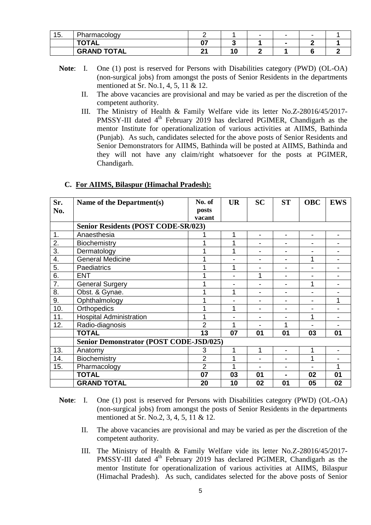| 4 E<br>ט. | Pharmacology       |          |    | - | - |  |
|-----------|--------------------|----------|----|---|---|--|
|           | <b>TOTAL</b>       | ^7<br>U. |    |   |   |  |
|           | <b>GRAND TOTAL</b> | ົ        | ۱Ω |   |   |  |

- **Note**: I. One (1) post is reserved for Persons with Disabilities category (PWD) (OL-OA) (non-surgical jobs) from amongst the posts of Senior Residents in the departments mentioned at Sr. No.1, 4, 5, 11 & 12.
	- II. The above vacancies are provisional and may be varied as per the discretion of the competent authority.
	- III. The Ministry of Health & Family Welfare vide its letter No.Z-28016/45/2017- PMSSY-III dated  $4<sup>th</sup>$  February 2019 has declared PGIMER, Chandigarh as the mentor Institute for operationalization of various activities at AIIMS, Bathinda (Punjab). As such, candidates selected for the above posts of Senior Residents and Senior Demonstrators for AIIMS, Bathinda will be posted at AIIMS, Bathinda and they will not have any claim/right whatsoever for the posts at PGIMER, Chandigarh.

| Sr.<br>No.       | Name of the Department(s)                      | No. of<br>posts<br>vacant | <b>UR</b> | <b>SC</b>                | <b>ST</b>                | <b>OBC</b> | <b>EWS</b> |
|------------------|------------------------------------------------|---------------------------|-----------|--------------------------|--------------------------|------------|------------|
|                  | <b>Senior Residents (POST CODE-SR/023)</b>     |                           |           |                          |                          |            |            |
| $\mathbf 1$ .    | Anaesthesia                                    |                           | 1         | $\blacksquare$           | $\overline{a}$           |            |            |
| 2.               | Biochemistry                                   |                           | 1         |                          |                          |            |            |
| $\overline{3}$ . | Dermatology                                    | 1                         |           | $\blacksquare$           |                          |            |            |
| $\overline{4}$ . | General Medicine                               |                           |           | $\overline{\phantom{a}}$ | $\overline{\phantom{a}}$ | 1          |            |
| 5.               | Paediatrics                                    |                           | 1         |                          |                          |            |            |
| 6.               | <b>ENT</b>                                     |                           |           | 1                        |                          |            |            |
| 7.               | <b>General Surgery</b>                         |                           |           |                          |                          | 1          |            |
| 8.               | Obst. & Gynae.                                 | 1                         |           | $\overline{\phantom{a}}$ | $\overline{\phantom{a}}$ |            |            |
| 9.               | Ophthalmology                                  |                           |           | $\overline{\phantom{a}}$ | $\overline{\phantom{a}}$ |            | 1          |
| 10.              | Orthopedics                                    |                           | 1         | -                        |                          |            |            |
| 11.              | <b>Hospital Administration</b>                 | 1                         |           |                          |                          | 1          |            |
| 12.              | Radio-diagnosis                                | $\overline{2}$            | 1         |                          | 1                        |            |            |
|                  | <b>TOTAL</b>                                   | 13                        | 07        | 01                       | 01                       | 03         | 01         |
|                  | <b>Senior Demonstrator (POST CODE-JSD/025)</b> |                           |           |                          |                          |            |            |
| 13.              | Anatomy                                        | 3                         | 1         | 1                        |                          | 1          |            |
| 14.              | Biochemistry                                   | $\overline{2}$            | 1         |                          |                          |            |            |
| 15.              | Pharmacology                                   | $\overline{2}$            | 1         | $\blacksquare$           | $\overline{\phantom{0}}$ |            | 1          |
|                  | <b>TOTAL</b>                                   | 07                        | 03        | 01                       | $\blacksquare$           | 02         | 01         |
|                  | <b>GRAND TOTAL</b>                             | 20                        | 10        | 02                       | 01                       | 05         | 02         |

### **C. For AIIMS, Bilaspur (Himachal Pradesh):**

- **Note:** I. One (1) post is reserved for Persons with Disabilities category (PWD) (OL-OA) (non-surgical jobs) from amongst the posts of Senior Residents in the departments mentioned at Sr. No.2, 3, 4, 5, 11 & 12.
	- II. The above vacancies are provisional and may be varied as per the discretion of the competent authority.
	- III. The Ministry of Health & Family Welfare vide its letter No.Z-28016/45/2017- PMSSY-III dated  $4<sup>th</sup>$  February 2019 has declared PGIMER, Chandigarh as the mentor Institute for operationalization of various activities at AIIMS, Bilaspur (Himachal Pradesh). As such, candidates selected for the above posts of Senior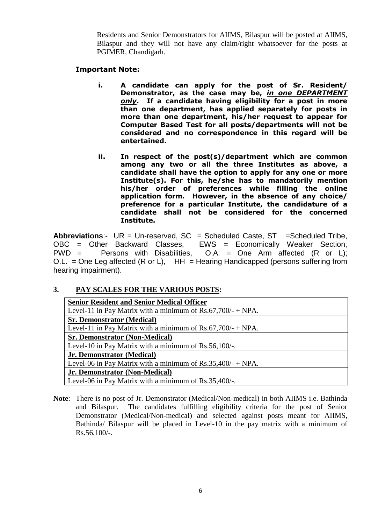Residents and Senior Demonstrators for AIIMS, Bilaspur will be posted at AIIMS, Bilaspur and they will not have any claim/right whatsoever for the posts at PGIMER, Chandigarh.

#### **Important Note:**

- **i. A candidate can apply for the post of Sr. Resident/ Demonstrator, as the case may be,** *in one DEPARTMENT only***. If a candidate having eligibility for a post in more than one department, has applied separately for posts in more than one department, his/her request to appear for Computer Based Test for all posts/departments will not be considered and no correspondence in this regard will be entertained.**
- **ii. In respect of the post(s)/department which are common among any two or all the three Institutes as above, a candidate shall have the option to apply for any one or more Institute(s). For this, he/she has to mandatorily mention his/her order of preferences while filling the online application form. However, in the absence of any choice/ preference for a particular Institute, the candidature of a candidate shall not be considered for the concerned Institute.**

Abbreviations:- UR = Un-reserved, SC = Scheduled Caste, ST = Scheduled Tribe, OBC = Other Backward Classes, EWS = Economically Weaker Section,  $PWD =$  Persons with Disabilities,  $O.A. = One$  Arm affected  $(R \text{ or } L)$ ; O.L. = One Leg affected  $(R \text{ or } L)$ ,  $HH = Hearing Handicapped (persons suffering from$ hearing impairment).

### **3. PAY SCALES FOR THE VARIOUS POSTS:**

| <b>Senior Resident and Senior Medical Officer</b>             |
|---------------------------------------------------------------|
| Level-11 in Pay Matrix with a minimum of $Rs.67,700/-$ + NPA. |
| <b>Sr. Demonstrator (Medical)</b>                             |
| Level-11 in Pay Matrix with a minimum of $Rs.67,700/-$ + NPA. |
| <b>Sr. Demonstrator (Non-Medical)</b>                         |
| Level-10 in Pay Matrix with a minimum of Rs.56,100/-.         |
| Jr. Demonstrator (Medical)                                    |
| Level-06 in Pay Matrix with a minimum of $Rs.35,400/-$ + NPA. |
| Jr. Demonstrator (Non-Medical)                                |
| Level-06 in Pay Matrix with a minimum of Rs.35,400/-.         |

**Note**: There is no post of Jr. Demonstrator (Medical/Non-medical) in both AIIMS i.e. Bathinda and Bilaspur. The candidates fulfilling eligibility criteria for the post of Senior Demonstrator (Medical/Non-medical) and selected against posts meant for AIIMS, Bathinda/ Bilaspur will be placed in Level-10 in the pay matrix with a minimum of Rs.56,100/-.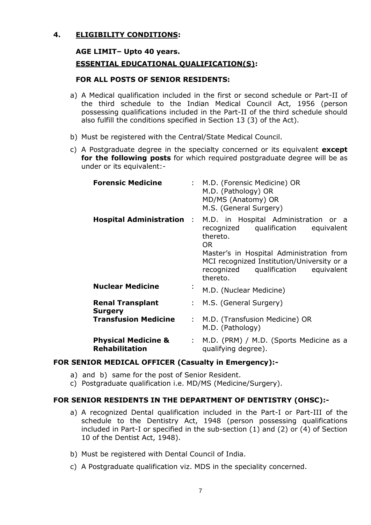## **4. ELIGIBILITY CONDITIONS:**

#### **AGE LIMIT– Upto 40 years.**

#### **ESSENTIAL EDUCATIONAL QUALIFICATION(S):**

#### **FOR ALL POSTS OF SENIOR RESIDENTS:**

- a) A Medical qualification included in the first or second schedule or Part-II of the third schedule to the Indian Medical Council Act, 1956 (person possessing qualifications included in the Part-II of the third schedule should also fulfill the conditions specified in Section 13 (3) of the Act).
- b) Must be registered with the Central/State Medical Council.
- c) A Postgraduate degree in the specialty concerned or its equivalent **except for the following posts** for which required postgraduate degree will be as under or its equivalent:-

| <b>Forensic Medicine</b>                                |                           | : M.D. (Forensic Medicine) OR<br>M.D. (Pathology) OR<br>MD/MS (Anatomy) OR<br>M.S. (General Surgery)                                                                                                                                                                         |  |  |  |
|---------------------------------------------------------|---------------------------|------------------------------------------------------------------------------------------------------------------------------------------------------------------------------------------------------------------------------------------------------------------------------|--|--|--|
|                                                         |                           | <b>Hospital Administration</b> : M.D. in Hospital Administration or a<br>recognized qualification equivalent<br>thereto.<br>OR.<br>Master's in Hospital Administration from<br>MCI recognized Institution/University or a<br>recognized qualification equivalent<br>thereto. |  |  |  |
| <b>Nuclear Medicine</b>                                 | $\blacksquare$            | M.D. (Nuclear Medicine)                                                                                                                                                                                                                                                      |  |  |  |
| <b>Renal Transplant</b><br><b>Surgery</b>               |                           | : M.S. (General Surgery)                                                                                                                                                                                                                                                     |  |  |  |
| <b>Transfusion Medicine</b>                             | $\mathbb{R}^{\mathbb{Z}}$ | M.D. (Transfusion Medicine) OR<br>M.D. (Pathology)                                                                                                                                                                                                                           |  |  |  |
| <b>Physical Medicine &amp;</b><br><b>Rehabilitation</b> |                           | : M.D. (PRM) / M.D. (Sports Medicine as a<br>qualifying degree).                                                                                                                                                                                                             |  |  |  |

#### **FOR SENIOR MEDICAL OFFICER (Casualty in Emergency):-**

- a) and b) same for the post of Senior Resident.
- c) Postgraduate qualification i.e. MD/MS (Medicine/Surgery).

### **FOR SENIOR RESIDENTS IN THE DEPARTMENT OF DENTISTRY (OHSC):-**

- a) A recognized Dental qualification included in the Part-I or Part-III of the schedule to the Dentistry Act, 1948 (person possessing qualifications included in Part-I or specified in the sub-section (1) and (2) or (4) of Section 10 of the Dentist Act, 1948).
- b) Must be registered with Dental Council of India.
- c) A Postgraduate qualification viz. MDS in the speciality concerned.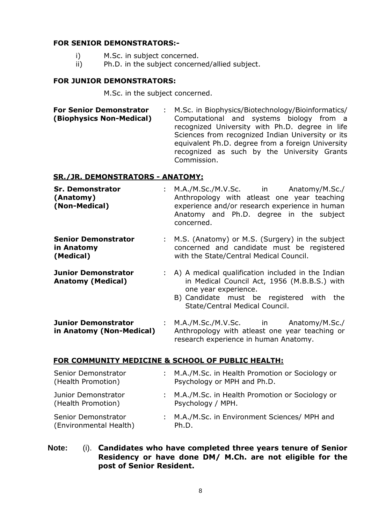#### **FOR SENIOR DEMONSTRATORS:-**

- i) M.Sc. in subject concerned.
- ii) Ph.D. in the subject concerned/allied subject.

#### **FOR JUNIOR DEMONSTRATORS:**

M.Sc. in the subject concerned.

**For Senior Demonstrator (Biophysics Non-Medical)** : M.Sc. in Biophysics/Biotechnology/Bioinformatics/ Computational and systems biology from a recognized University with Ph.D. degree in life Sciences from recognized Indian University or its equivalent Ph.D. degree from a foreign University recognized as such by the University Grants Commission.

### **SR./JR. DEMONSTRATORS - ANATOMY:**

- **Sr. Demonstrator (Anatomy) (Non-Medical)** : M.A./M.Sc./M.V.Sc. in Anatomy/M.Sc./ Anthropology with atleast one year teaching experience and/or research experience in human Anatomy and Ph.D. degree in the subject concerned.
- **Senior Demonstrator in Anatomy (Medical)** : M.S. (Anatomy) or M.S. (Surgery) in the subject concerned and candidate must be registered with the State/Central Medical Council.
- **Junior Demonstrator Anatomy (Medical)** : A) A medical qualification included in the Indian in Medical Council Act, 1956 (M.B.B.S.) with one year experience.
	- B) Candidate must be registered with the State/Central Medical Council.
- **Junior Demonstrator in Anatomy (Non-Medical)** : M.A./M.Sc./M.V.Sc. in Anatomy/M.Sc./ Anthropology with atleast one year teaching or research experience in human Anatomy.

### **FOR COMMUNITY MEDICINE & SCHOOL OF PUBLIC HEALTH:**

| Senior Demonstrator<br>(Health Promotion)     | : M.A./M.Sc. in Health Promotion or Sociology or<br>Psychology or MPH and Ph.D. |
|-----------------------------------------------|---------------------------------------------------------------------------------|
| Junior Demonstrator<br>(Health Promotion)     | : M.A./M.Sc. in Health Promotion or Sociology or<br>Psychology / MPH.           |
| Senior Demonstrator<br>(Environmental Health) | : M.A./M.Sc. in Environment Sciences/ MPH and<br>Ph.D.                          |

**Note:** (i). **Candidates who have completed three years tenure of Senior Residency or have done DM/ M.Ch. are not eligible for the post of Senior Resident.**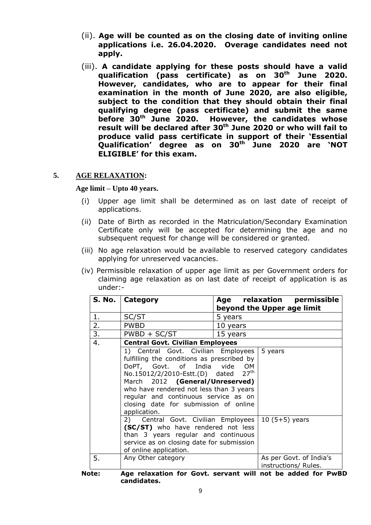- (ii). **Age will be counted as on the closing date of inviting online applications i.e. 26.04.2020. Overage candidates need not apply.**
- (iii). **A candidate applying for these posts should have a valid qualification (pass certificate) as on 30 th June 2020. However, candidates, who are to appear for their final examination in the month of June 2020, are also eligible, subject to the condition that they should obtain their final qualifying degree (pass certificate) and submit the same before 30 However, the candidates whose result will be declared after 30 th June 2020 or who will fail to produce valid pass certificate in support of their 'Essential Qualification' degree as on 30 th June 2020 are 'NOT ELIGIBLE' for this exam.**

#### **5. AGE RELAXATION:**

#### **Age limit – Upto 40 years.**

- (i) Upper age limit shall be determined as on last date of receipt of applications.
- (ii) Date of Birth as recorded in the Matriculation/Secondary Examination Certificate only will be accepted for determining the age and no subsequent request for change will be considered or granted.
- (iii) No age relaxation would be available to reserved category candidates applying for unreserved vacancies.
- (iv) Permissible relaxation of upper age limit as per Government orders for claiming age relaxation as on last date of receipt of application is as under:-

|      | S. No.   Category                                                                                                                                                                                                                                                                                                               |                         | Age relaxation permissible<br>beyond the Upper age limit |
|------|---------------------------------------------------------------------------------------------------------------------------------------------------------------------------------------------------------------------------------------------------------------------------------------------------------------------------------|-------------------------|----------------------------------------------------------|
| 1.   | SC/ST                                                                                                                                                                                                                                                                                                                           | 5 years                 |                                                          |
| 2.   | <b>PWBD</b>                                                                                                                                                                                                                                                                                                                     | 10 years                |                                                          |
| 3.   | $PWBD + SC/ST$                                                                                                                                                                                                                                                                                                                  | 15 years                |                                                          |
| 4.   | <b>Central Govt. Civilian Employees</b>                                                                                                                                                                                                                                                                                         |                         |                                                          |
|      | 1) Central Govt. Civilian Employees<br>fulfilling the conditions as prescribed by<br>DoPT, Govt. of India vide<br>No.15012/2/2010-Estt.(D) dated<br>March 2012 (General/Unreserved)<br>who have rendered not less than 3 years<br>regular and continuous service as on<br>closing date for submission of online<br>application. | OM.<br>27 <sup>th</sup> | 5 years                                                  |
|      | 2) Central Govt. Civilian Employees   10 (5+5) years<br>(SC/ST) who have rendered not less<br>than 3 years regular and continuous<br>service as on closing date for submission<br>of online application.                                                                                                                        |                         |                                                          |
| 5.   | Any Other category                                                                                                                                                                                                                                                                                                              |                         | As per Govt. of India's<br>instructions/ Rules.          |
| ote: | Age relaxation for Govt. servant will not be added for PwBI                                                                                                                                                                                                                                                                     |                         |                                                          |

**Note: Age relaxation for Govt. servant will not be added for PwBD candidates.**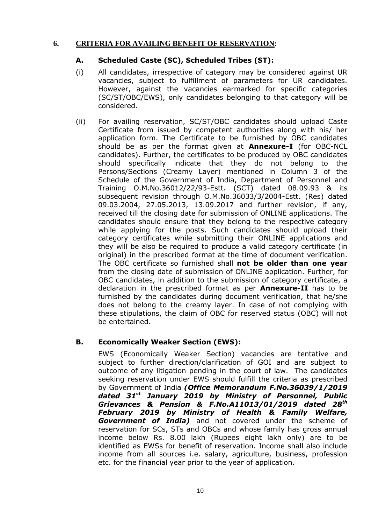#### **6. CRITERIA FOR AVAILING BENEFIT OF RESERVATION:**

#### **A. Scheduled Caste (SC), Scheduled Tribes (ST):**

- (i) All candidates, irrespective of category may be considered against UR vacancies, subject to fulfillment of parameters for UR candidates. However, against the vacancies earmarked for specific categories (SC/ST/OBC/EWS), only candidates belonging to that category will be considered.
- (ii) For availing reservation, SC/ST/OBC candidates should upload Caste Certificate from issued by competent authorities along with his/ her application form. The Certificate to be furnished by OBC candidates should be as per the format given at **Annexure-I** (for OBC-NCL candidates). Further, the certificates to be produced by OBC candidates should specifically indicate that they do not belong to the Persons/Sections (Creamy Layer) mentioned in Column 3 of the Schedule of the Government of India, Department of Personnel and Training O.M.No.36012/22/93-Estt. (SCT) dated 08.09.93 & its subsequent revision through O.M.No.36033/3/2004-Estt. (Res) dated 09.03.2004, 27.05.2013, 13.09.2017 and further revision, if any, received till the closing date for submission of ONLINE applications. The candidates should ensure that they belong to the respective category while applying for the posts. Such candidates should upload their category certificates while submitting their ONLINE applications and they will be also be required to produce a valid category certificate (in original) in the prescribed format at the time of document verification. The OBC certificate so furnished shall **not be older than one year** from the closing date of submission of ONLINE application. Further, for OBC candidates, in addition to the submission of category certificate, a declaration in the prescribed format as per **Annexure-II** has to be furnished by the candidates during document verification, that he/she does not belong to the creamy layer. In case of not complying with these stipulations, the claim of OBC for reserved status (OBC) will not be entertained.

### **B. Economically Weaker Section (EWS):**

EWS (Economically Weaker Section) vacancies are tentative and subject to further direction/clarification of GOI and are subject to outcome of any litigation pending in the court of law. The candidates seeking reservation under EWS should fulfill the criteria as prescribed by Government of India *(Office Memorandum F.No.36039/1/2019 dated 31st January 2019 by Ministry of Personnel, Public Grievances & Pension & F.No.A11013/01/2019 dated 28th February 2019 by Ministry of Health & Family Welfare, Government of India)* and not covered under the scheme of reservation for SCs, STs and OBCs and whose family has gross annual income below Rs. 8.00 lakh (Rupees eight lakh only) are to be identified as EWSs for benefit of reservation. Income shall also include income from all sources i.e. salary, agriculture, business, profession etc. for the financial year prior to the year of application.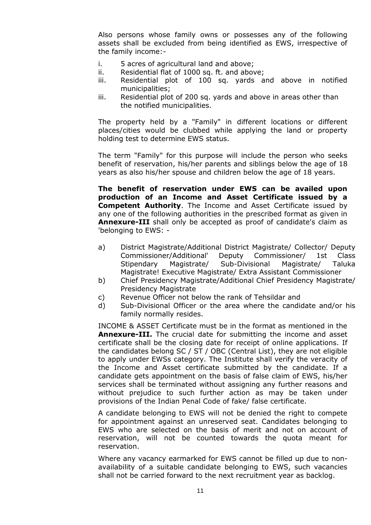Also persons whose family owns or possesses any of the following assets shall be excluded from being identified as EWS, irrespective of the family income:-

- i. 5 acres of agricultural land and above;
- ii. Residential flat of 1000 sq. ft. and above;
- iii. Residential plot of 100 sq. yards and above in notified municipalities;
- iii. Residential plot of 200 sq. yards and above in areas other than the notified municipalities.

The property held by a "Family" in different locations or different places/cities would be clubbed while applying the land or property holding test to determine EWS status.

The term "Family" for this purpose will include the person who seeks benefit of reservation, his/her parents and siblings below the age of 18 years as also his/her spouse and children below the age of 18 years.

**The benefit of reservation under EWS can be availed upon production of an Income and Asset Certificate issued by a Competent Authority**. The Income and Asset Certificate issued by any one of the following authorities in the prescribed format as given in **Annexure-III** shall only be accepted as proof of candidate's claim as 'belonging to EWS: -

- a) District Magistrate/Additional District Magistrate/ Collector/ Deputy Commissioner/Additional' Deputy Commissioner/ 1st Class Stipendary Magistrate/ Sub-Divisional Magistrate/ Taluka Magistrate! Executive Magistrate/ Extra Assistant Commissioner
- b) Chief Presidency Magistrate/Additional Chief Presidency Magistrate/ Presidency Magistrate
- c) Revenue Officer not below the rank of Tehsildar and
- d) Sub-Divisional Officer or the area where the candidate and/or his family normally resides.

INCOME & ASSET Certificate must be in the format as mentioned in the **Annexure-III.** The crucial date for submitting the income and asset certificate shall be the closing date for receipt of online applications. If the candidates belong SC / ST / OBC (Central List), they are not eligible to apply under EWSs category. The Institute shall verify the veracity of the Income and Asset certificate submitted by the candidate. If a candidate gets appointment on the basis of false claim of EWS, his/her services shall be terminated without assigning any further reasons and without prejudice to such further action as may be taken under provisions of the Indian Penal Code of fake/ false certificate.

A candidate belonging to EWS will not be denied the right to compete for appointment against an unreserved seat. Candidates belonging to EWS who are selected on the basis of merit and not on account of reservation, will not be counted towards the quota meant for reservation.

Where any vacancy earmarked for EWS cannot be filled up due to nonavailability of a suitable candidate belonging to EWS, such vacancies shall not be carried forward to the next recruitment year as backlog.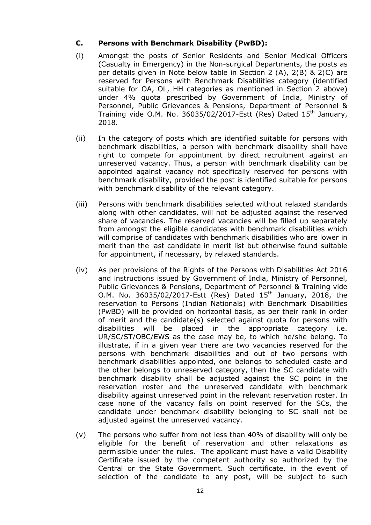### **C. Persons with Benchmark Disability (PwBD):**

- (i) Amongst the posts of Senior Residents and Senior Medical Officers (Casualty in Emergency) in the Non-surgical Departments, the posts as per details given in Note below table in Section 2 (A), 2(B) & 2(C) are reserved for Persons with Benchmark Disabilities category (identified suitable for OA, OL, HH categories as mentioned in Section 2 above) under 4% quota prescribed by Government of India, Ministry of Personnel, Public Grievances & Pensions, Department of Personnel & Training vide O.M. No. 36035/02/2017-Estt (Res) Dated  $15<sup>th</sup>$  January, 2018.
- (ii) In the category of posts which are identified suitable for persons with benchmark disabilities, a person with benchmark disability shall have right to compete for appointment by direct recruitment against an unreserved vacancy. Thus, a person with benchmark disability can be appointed against vacancy not specifically reserved for persons with benchmark disability, provided the post is identified suitable for persons with benchmark disability of the relevant category.
- (iii) Persons with benchmark disabilities selected without relaxed standards along with other candidates, will not be adjusted against the reserved share of vacancies. The reserved vacancies will be filled up separately from amongst the eligible candidates with benchmark disabilities which will comprise of candidates with benchmark disabilities who are lower in merit than the last candidate in merit list but otherwise found suitable for appointment, if necessary, by relaxed standards.
- (iv) As per provisions of the Rights of the Persons with Disabilities Act 2016 and instructions issued by Government of India, Ministry of Personnel, Public Grievances & Pensions, Department of Personnel & Training vide O.M. No. 36035/02/2017-Estt (Res) Dated  $15<sup>th</sup>$  January, 2018, the reservation to Persons (Indian Nationals) with Benchmark Disabilities (PwBD) will be provided on horizontal basis, as per their rank in order of merit and the candidate(s) selected against quota for persons with disabilities will be placed in the appropriate category i.e. UR/SC/ST/OBC/EWS as the case may be, to which he/she belong. To illustrate, if in a given year there are two vacancies reserved for the persons with benchmark disabilities and out of two persons with benchmark disabilities appointed, one belongs to scheduled caste and the other belongs to unreserved category, then the SC candidate with benchmark disability shall be adjusted against the SC point in the reservation roster and the unreserved candidate with benchmark disability against unreserved point in the relevant reservation roster. In case none of the vacancy falls on point reserved for the SCs, the candidate under benchmark disability belonging to SC shall not be adjusted against the unreserved vacancy.
- (v) The persons who suffer from not less than 40% of disability will only be eligible for the benefit of reservation and other relaxations as permissible under the rules. The applicant must have a valid Disability Certificate issued by the competent authority so authorized by the Central or the State Government. Such certificate, in the event of selection of the candidate to any post, will be subject to such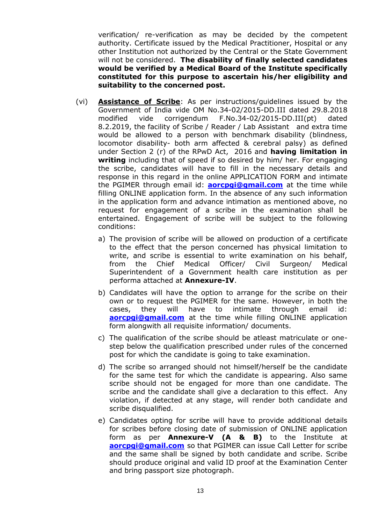verification/ re-verification as may be decided by the competent authority. Certificate issued by the Medical Practitioner, Hospital or any other Institution not authorized by the Central or the State Government will not be considered. **The disability of finally selected candidates would be verified by a Medical Board of the Institute specifically constituted for this purpose to ascertain his/her eligibility and suitability to the concerned post.**

- (vi) **Assistance of Scribe**: As per instructions/guidelines issued by the Government of India vide OM No.34-02/2015-DD.III dated 29.8.2018 modified vide corrigendum F.No.34-02/2015-DD.III(pt) dated 8.2.2019, the facility of Scribe / Reader / Lab Assistant and extra time would be allowed to a person with benchmark disability (blindness, locomotor disability- both arm affected & cerebral palsy) as defined under Section 2 (r) of the RPwD Act, 2016 and **having limitation in writing** including that of speed if so desired by him/ her. For engaging the scribe, candidates will have to fill in the necessary details and response in this regard in the online APPLICATION FORM and intimate the PGIMER through email id: **[aorcpgi@gmail.com](mailto:aorcpgi@gmail.com)** at the time while filling ONLINE application form. In the absence of any such information in the application form and advance intimation as mentioned above, no request for engagement of a scribe in the examination shall be entertained. Engagement of scribe will be subject to the following conditions:
	- a) The provision of scribe will be allowed on production of a certificate to the effect that the person concerned has physical limitation to write, and scribe is essential to write examination on his behalf, from the Chief Medical Officer/ Civil Surgeon/ Medical Superintendent of a Government health care institution as per performa attached at **Annexure-IV**.
	- b) Candidates will have the option to arrange for the scribe on their own or to request the PGIMER for the same. However, in both the cases, they will have to intimate through email id: **[aorcpgi@gmail.com](mailto:aorcpgi@gmail.com)** at the time while filling ONLINE application form alongwith all requisite information/ documents.
	- c) The qualification of the scribe should be atleast matriculate or onestep below the qualification prescribed under rules of the concerned post for which the candidate is going to take examination.
	- d) The scribe so arranged should not himself/herself be the candidate for the same test for which the candidate is appearing. Also same scribe should not be engaged for more than one candidate. The scribe and the candidate shall give a declaration to this effect. Any violation, if detected at any stage, will render both candidate and scribe disqualified.
	- e) Candidates opting for scribe will have to provide additional details for scribes before closing date of submission of ONLINE application form as per **Annexure-V (A & B)** to the Institute at **[aorcpgi@gmail.com](mailto:aorcpgi@gmail.com)** so that PGIMER can issue Call Letter for scribe and the same shall be signed by both candidate and scribe. Scribe should produce original and valid ID proof at the Examination Center and bring passport size photograph.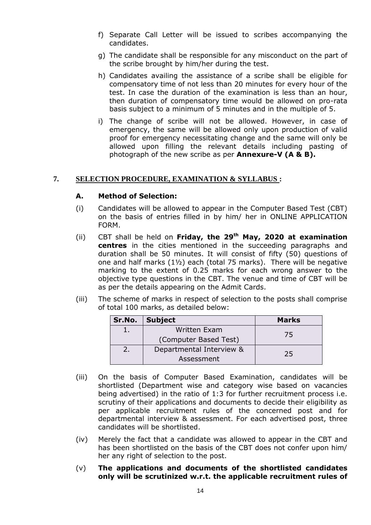- f) Separate Call Letter will be issued to scribes accompanying the candidates.
- g) The candidate shall be responsible for any misconduct on the part of the scribe brought by him/her during the test.
- h) Candidates availing the assistance of a scribe shall be eligible for compensatory time of not less than 20 minutes for every hour of the test. In case the duration of the examination is less than an hour, then duration of compensatory time would be allowed on pro-rata basis subject to a minimum of 5 minutes and in the multiple of 5.
- i) The change of scribe will not be allowed. However, in case of emergency, the same will be allowed only upon production of valid proof for emergency necessitating change and the same will only be allowed upon filling the relevant details including pasting of photograph of the new scribe as per **Annexure-V (A & B).**

#### **7. SELECTION PROCEDURE, EXAMINATION & SYLLABUS :**

#### **A. Method of Selection:**

- (i) Candidates will be allowed to appear in the Computer Based Test (CBT) on the basis of entries filled in by him/ her in ONLINE APPLICATION FORM.
- (ii) CBT shall be held on **Friday, the 29th May, 2020 at examination centres** in the cities mentioned in the succeeding paragraphs and duration shall be 50 minutes. It will consist of fifty (50) questions of one and half marks (1½) each (total 75 marks). There will be negative marking to the extent of 0.25 marks for each wrong answer to the objective type questions in the CBT. The venue and time of CBT will be as per the details appearing on the Admit Cards.
- (iii) The scheme of marks in respect of selection to the posts shall comprise of total 100 marks, as detailed below:

| Sr.No. | <b>Subject</b>           | <b>Marks</b> |
|--------|--------------------------|--------------|
|        | Written Exam             | 75           |
|        | (Computer Based Test)    |              |
|        | Departmental Interview & | 25           |
|        | Assessment               |              |

- (iii) On the basis of Computer Based Examination, candidates will be shortlisted (Department wise and category wise based on vacancies being advertised) in the ratio of 1:3 for further recruitment process i.e. scrutiny of their applications and documents to decide their eligibility as per applicable recruitment rules of the concerned post and for departmental interview & assessment. For each advertised post, three candidates will be shortlisted.
- (iv) Merely the fact that a candidate was allowed to appear in the CBT and has been shortlisted on the basis of the CBT does not confer upon him/ her any right of selection to the post.
- (v) **The applications and documents of the shortlisted candidates only will be scrutinized w.r.t. the applicable recruitment rules of**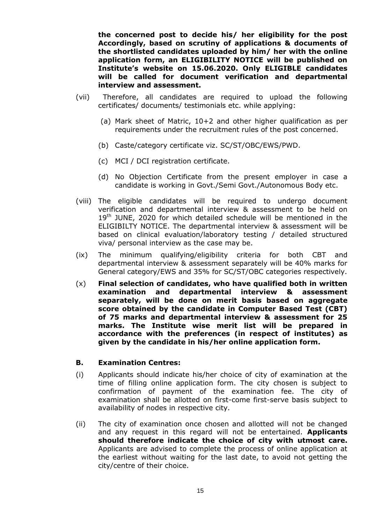**the concerned post to decide his/ her eligibility for the post Accordingly, based on scrutiny of applications & documents of the shortlisted candidates uploaded by him/ her with the online application form, an ELIGIBILITY NOTICE will be published on Institute's website on 15.06.2020. Only ELIGIBLE candidates will be called for document verification and departmental interview and assessment.**

- (vii) Therefore, all candidates are required to upload the following certificates/ documents/ testimonials etc. while applying:
	- (a) Mark sheet of Matric, 10+2 and other higher qualification as per requirements under the recruitment rules of the post concerned.
	- (b) Caste/category certificate viz. SC/ST/OBC/EWS/PWD.
	- (c) MCI / DCI registration certificate.
	- (d) No Objection Certificate from the present employer in case a candidate is working in Govt./Semi Govt./Autonomous Body etc.
- (viii) The eligible candidates will be required to undergo document verification and departmental interview & assessment to be held on  $19<sup>th</sup>$  JUNE, 2020 for which detailed schedule will be mentioned in the ELIGIBILTY NOTICE. The departmental interview & assessment will be based on clinical evaluation/laboratory testing / detailed structured viva/ personal interview as the case may be.
- (ix) The minimum qualifying/eligibility criteria for both CBT and departmental interview & assessment separately will be 40% marks for General category/EWS and 35% for SC/ST/OBC categories respectively.
- (x) **Final selection of candidates, who have qualified both in written examination and departmental interview & assessment separately, will be done on merit basis based on aggregate score obtained by the candidate in Computer Based Test (CBT) of 75 marks and departmental interview & assessment for 25 marks. The Institute wise merit list will be prepared in accordance with the preferences (in respect of institutes) as given by the candidate in his/her online application form.**

#### **B. Examination Centres:**

- (i) Applicants should indicate his/her choice of city of examination at the time of filling online application form. The city chosen is subject to confirmation of payment of the examination fee. The city of examination shall be allotted on first-come first-serve basis subject to availability of nodes in respective city.
- (ii) The city of examination once chosen and allotted will not be changed and any request in this regard will not be entertained. **Applicants should therefore indicate the choice of city with utmost care.**  Applicants are advised to complete the process of online application at the earliest without waiting for the last date, to avoid not getting the city/centre of their choice.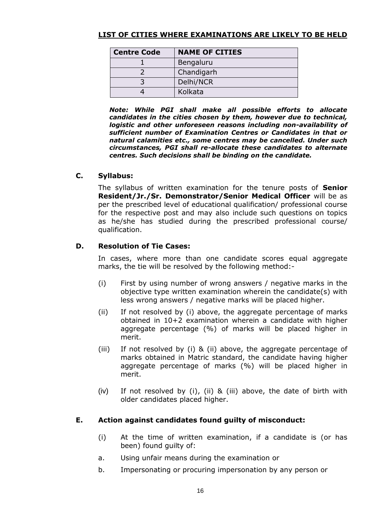## **LIST OF CITIES WHERE EXAMINATIONS ARE LIKELY TO BE HELD**

| <b>NAME OF CITIES</b> |
|-----------------------|
| Bengaluru             |
| Chandigarh            |
| Delhi/NCR             |
| Kolkata               |
|                       |

*Note: While PGI shall make all possible efforts to allocate candidates in the cities chosen by them, however due to technical, logistic and other unforeseen reasons including non-availability of sufficient number of Examination Centres or Candidates in that or natural calamities etc., some centres may be cancelled. Under such circumstances, PGI shall re-allocate these candidates to alternate centres. Such decisions shall be binding on the candidate.*

### **C. Syllabus:**

The syllabus of written examination for the tenure posts of **Senior Resident/Jr./Sr. Demonstrator/Senior Medical Officer** will be as per the prescribed level of educational qualification/ professional course for the respective post and may also include such questions on topics as he/she has studied during the prescribed professional course/ qualification.

## **D. Resolution of Tie Cases:**

In cases, where more than one candidate scores equal aggregate marks, the tie will be resolved by the following method:-

- (i) First by using number of wrong answers / negative marks in the objective type written examination wherein the candidate(s) with less wrong answers / negative marks will be placed higher.
- (ii) If not resolved by (i) above, the aggregate percentage of marks obtained in 10+2 examination wherein a candidate with higher aggregate percentage (%) of marks will be placed higher in merit.
- (iii) If not resolved by (i) & (ii) above, the aggregate percentage of marks obtained in Matric standard, the candidate having higher aggregate percentage of marks (%) will be placed higher in merit.
- (iv) If not resolved by (i), (ii) & (iii) above, the date of birth with older candidates placed higher.

### **E. Action against candidates found guilty of misconduct:**

- (i) At the time of written examination, if a candidate is (or has been) found guilty of:
- a. Using unfair means during the examination or
- b. Impersonating or procuring impersonation by any person or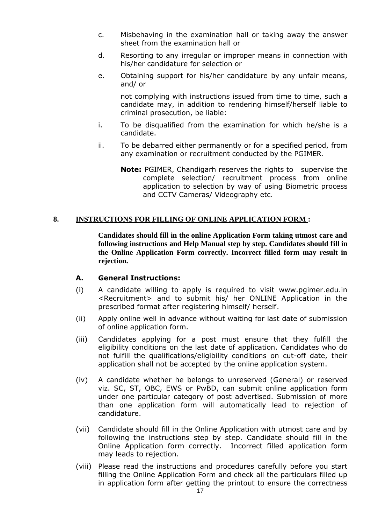- c. Misbehaving in the examination hall or taking away the answer sheet from the examination hall or
- d. Resorting to any irregular or improper means in connection with his/her candidature for selection or
- e. Obtaining support for his/her candidature by any unfair means, and/ or

not complying with instructions issued from time to time, such a candidate may, in addition to rendering himself/herself liable to criminal prosecution, be liable:

- i. To be disqualified from the examination for which he/she is a candidate.
- ii. To be debarred either permanently or for a specified period, from any examination or recruitment conducted by the PGIMER.
	- **Note:** PGIMER, Chandigarh reserves the rights to supervise the complete selection/ recruitment process from online application to selection by way of using Biometric process and CCTV Cameras/ Videography etc.

#### **8. INSTRUCTIONS FOR FILLING OF ONLINE APPLICATION FORM :**

**Candidates should fill in the online Application Form taking utmost care and following instructions and Help Manual step by step. Candidates should fill in the Online Application Form correctly. Incorrect filled form may result in rejection.**

#### **A. General Instructions:**

- (i) A candidate willing to apply is required to visit [www.pgimer.edu.in](http://www.pgimer.edu.in/) <Recruitment> and to submit his/ her ONLINE Application in the prescribed format after registering himself/ herself.
- (ii) Apply online well in advance without waiting for last date of submission of online application form.
- (iii) Candidates applying for a post must ensure that they fulfill the eligibility conditions on the last date of application. Candidates who do not fulfill the qualifications/eligibility conditions on cut-off date, their application shall not be accepted by the online application system.
- (iv) A candidate whether he belongs to unreserved (General) or reserved viz. SC, ST, OBC, EWS or PwBD, can submit online application form under one particular category of post advertised. Submission of more than one application form will automatically lead to rejection of candidature.
- (vii) Candidate should fill in the Online Application with utmost care and by following the instructions step by step. Candidate should fill in the Online Application form correctly. Incorrect filled application form may leads to rejection.
- (viii) Please read the instructions and procedures carefully before you start filling the Online Application Form and check all the particulars filled up in application form after getting the printout to ensure the correctness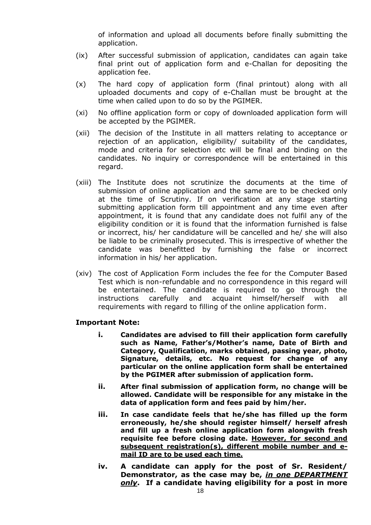of information and upload all documents before finally submitting the application.

- (ix) After successful submission of application, candidates can again take final print out of application form and e-Challan for depositing the application fee.
- (x) The hard copy of application form (final printout) along with all uploaded documents and copy of e-Challan must be brought at the time when called upon to do so by the PGIMER.
- (xi) No offline application form or copy of downloaded application form will be accepted by the PGIMER.
- (xii) The decision of the Institute in all matters relating to acceptance or rejection of an application, eligibility/ suitability of the candidates, mode and criteria for selection etc will be final and binding on the candidates. No inquiry or correspondence will be entertained in this regard.
- (xiii) The Institute does not scrutinize the documents at the time of submission of online application and the same are to be checked only at the time of Scrutiny. If on verification at any stage starting submitting application form till appointment and any time even after appointment, it is found that any candidate does not fulfil any of the eligibility condition or it is found that the information furnished is false or incorrect, his/ her candidature will be cancelled and he/ she will also be liable to be criminally prosecuted. This is irrespective of whether the candidate was benefitted by furnishing the false or incorrect information in his/ her application.
- (xiv) The cost of Application Form includes the fee for the Computer Based Test which is non-refundable and no correspondence in this regard will be entertained. The candidate is required to go through the instructions carefully and acquaint himself/herself with all requirements with regard to filling of the online application form.

#### **Important Note:**

- **i. Candidates are advised to fill their application form carefully such as Name, Father's/Mother's name, Date of Birth and Category, Qualification, marks obtained, passing year, photo, Signature, details, etc. No request for change of any particular on the online application form shall be entertained by the PGIMER after submission of application form.**
- **ii. After final submission of application form, no change will be allowed. Candidate will be responsible for any mistake in the data of application form and fees paid by him/her.**
- **iii. In case candidate feels that he/she has filled up the form erroneously, he/she should register himself/ herself afresh and fill up a fresh online application form alongwith fresh requisite fee before closing date. However, for second and subsequent registration(s), different mobile number and email ID are to be used each time.**
- **iv. A candidate can apply for the post of Sr. Resident/ Demonstrator, as the case may be,** *in one DEPARTMENT only***. If a candidate having eligibility for a post in more**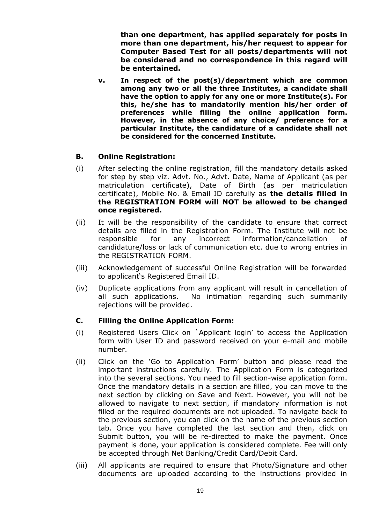**than one department, has applied separately for posts in more than one department, his/her request to appear for Computer Based Test for all posts/departments will not be considered and no correspondence in this regard will be entertained.**

**v. In respect of the post(s)/department which are common among any two or all the three Institutes, a candidate shall have the option to apply for any one or more Institute(s). For this, he/she has to mandatorily mention his/her order of preferences while filling the online application form. However, in the absence of any choice/ preference for a particular Institute, the candidature of a candidate shall not be considered for the concerned Institute.**

### **B. Online Registration:**

- (i) After selecting the online registration, fill the mandatory details asked for step by step viz. Advt. No., Advt. Date, Name of Applicant (as per matriculation certificate), Date of Birth (as per matriculation certificate), Mobile No. & Email ID carefully as **the details filled in the REGISTRATION FORM will NOT be allowed to be changed once registered.**
- (ii) It will be the responsibility of the candidate to ensure that correct details are filled in the Registration Form. The Institute will not be responsible for any incorrect information/cancellation of candidature/loss or lack of communication etc. due to wrong entries in the REGISTRATION FORM.
- (iii) Acknowledgement of successful Online Registration will be forwarded to applicant's Registered Email ID.
- (iv) Duplicate applications from any applicant will result in cancellation of all such applications. No intimation regarding such summarily rejections will be provided.

### **C. Filling the Online Application Form:**

- (i) Registered Users Click on `Applicant login' to access the Application form with User ID and password received on your e-mail and mobile number.
- (ii) Click on the 'Go to Application Form' button and please read the important instructions carefully. The Application Form is categorized into the several sections. You need to fill section-wise application form. Once the mandatory details in a section are filled, you can move to the next section by clicking on Save and Next. However, you will not be allowed to navigate to next section, if mandatory information is not filled or the required documents are not uploaded. To navigate back to the previous section, you can click on the name of the previous section tab. Once you have completed the last section and then, click on Submit button, you will be re-directed to make the payment. Once payment is done, your application is considered complete. Fee will only be accepted through Net Banking/Credit Card/Debit Card.
- (iii) All applicants are required to ensure that Photo/Signature and other documents are uploaded according to the instructions provided in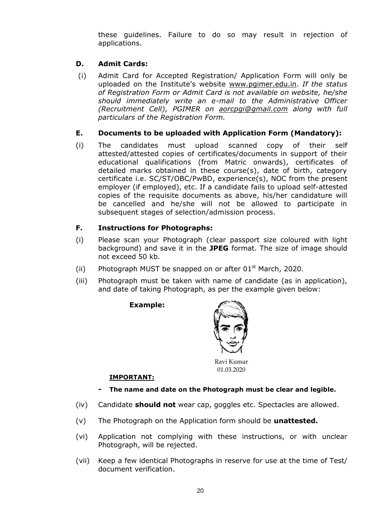these guidelines. Failure to do so may result in rejection of applications.

## **D. Admit Cards:**

(i) Admit Card for Accepted Registration/ Application Form will only be uploaded on the Institute's website [www.pgimer.edu.in.](http://www.pgimer.edu.in/) *If the status of Registration Form or Admit Card is not available on website, he/she should immediately write an e-mail to the Administrative Officer (Recruitment Cell), PGIMER on [aorcpgi@gmail.com](mailto:aorcpgi@gmail.com) along with full particulars of the Registration Form.*

## **E. Documents to be uploaded with Application Form (Mandatory):**

(i) The candidates must upload scanned copy of their self attested/attested copies of certificates/documents in support of their educational qualifications (from Matric onwards), certificates of detailed marks obtained in these course(s), date of birth, category certificate i.e. SC/ST/OBC/PwBD, experience(s), NOC from the present employer (if employed), etc. If a candidate fails to upload self-attested copies of the requisite documents as above, his/her candidature will be cancelled and he/she will not be allowed to participate in subsequent stages of selection/admission process.

# **F. Instructions for Photographs:**

- (i) Please scan your Photograph (clear passport size coloured with light background) and save it in the **JPEG** format. The size of image should not exceed 50 kb.
- (ii) Photograph MUST be snapped on or after  $01<sup>st</sup>$  March, 2020.
- (iii) Photograph must be taken with name of candidate (as in application), and date of taking Photograph, as per the example given below:

**Example:**



Ravi Kumar 01.03.2020

### **IMPORTANT:**

- **- The name and date on the Photograph must be clear and legible.**
- (iv) Candidate **should not** wear cap, goggles etc. Spectacles are allowed.
- (v) The Photograph on the Application form should be **unattested.**
- (vi) Application not complying with these instructions, or with unclear Photograph, will be rejected.
- (vii) Keep a few identical Photographs in reserve for use at the time of Test/ document verification.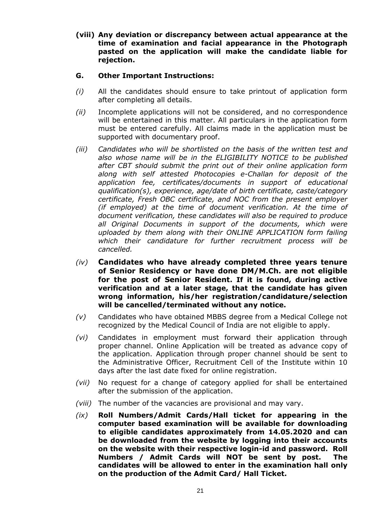**(viii) Any deviation or discrepancy between actual appearance at the time of examination and facial appearance in the Photograph pasted on the application will make the candidate liable for rejection.**

## **G. Other Important Instructions:**

- *(i)* All the candidates should ensure to take printout of application form after completing all details.
- *(ii)* Incomplete applications will not be considered, and no correspondence will be entertained in this matter. All particulars in the application form must be entered carefully. All claims made in the application must be supported with documentary proof.
- *(iii) Candidates who will be shortlisted on the basis of the written test and also whose name will be in the ELIGIBILITY NOTICE to be published after CBT should submit the print out of their online application form along with self attested Photocopies e-Challan for deposit of the application fee, certificates/documents in support of educational qualification(s), experience, age/date of birth certificate, caste/category certificate, Fresh OBC certificate, and NOC from the present employer (if employed) at the time of document verification. At the time of document verification, these candidates will also be required to produce all Original Documents in support of the documents, which were uploaded by them along with their ONLINE APPLICATION form failing which their candidature for further recruitment process will be cancelled.*
- *(iv)* **Candidates who have already completed three years tenure of Senior Residency or have done DM/M.Ch. are not eligible for the post of Senior Resident. If it is found, during active verification and at a later stage, that the candidate has given wrong information, his/her registration/candidature/selection will be cancelled/terminated without any notice.**
- *(v)* Candidates who have obtained MBBS degree from a Medical College not recognized by the Medical Council of India are not eligible to apply.
- *(vi)* Candidates in employment must forward their application through proper channel. Online Application will be treated as advance copy of the application. Application through proper channel should be sent to the Administrative Officer, Recruitment Cell of the Institute within 10 days after the last date fixed for online registration.
- *(vii)* No request for a change of category applied for shall be entertained after the submission of the application.
- *(viii)* The number of the vacancies are provisional and may vary.
- *(ix)* **Roll Numbers/Admit Cards/Hall ticket for appearing in the computer based examination will be available for downloading to eligible candidates approximately from 14.05.2020 and can be downloaded from the website by logging into their accounts on the website with their respective login-id and password. Roll Numbers / Admit Cards will NOT be sent by post. The candidates will be allowed to enter in the examination hall only on the production of the Admit Card/ Hall Ticket.**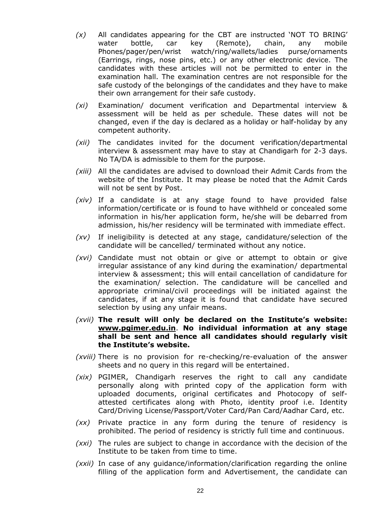- *(x)* All candidates appearing for the CBT are instructed 'NOT TO BRING' water bottle, car key (Remote), chain, any mobile Phones/pager/pen/wrist watch/ring/wallets/ladies purse/ornaments (Earrings, rings, nose pins, etc.) or any other electronic device. The candidates with these articles will not be permitted to enter in the examination hall. The examination centres are not responsible for the safe custody of the belongings of the candidates and they have to make their own arrangement for their safe custody.
- *(xi)* Examination/ document verification and Departmental interview & assessment will be held as per schedule. These dates will not be changed, even if the day is declared as a holiday or half-holiday by any competent authority.
- *(xii)* The candidates invited for the document verification/departmental interview & assessment may have to stay at Chandigarh for 2-3 days. No TA/DA is admissible to them for the purpose.
- *(xiii)* All the candidates are advised to download their Admit Cards from the website of the Institute. It may please be noted that the Admit Cards will not be sent by Post.
- *(xiv)* If a candidate is at any stage found to have provided false information/certificate or is found to have withheld or concealed some information in his/her application form, he/she will be debarred from admission, his/her residency will be terminated with immediate effect.
- *(xv)* If ineligibility is detected at any stage, candidature/selection of the candidate will be cancelled/ terminated without any notice.
- *(xvi)* Candidate must not obtain or give or attempt to obtain or give irregular assistance of any kind during the examination/ departmental interview & assessment; this will entail cancellation of candidature for the examination/ selection. The candidature will be cancelled and appropriate criminal/civil proceedings will be initiated against the candidates, if at any stage it is found that candidate have secured selection by using any unfair means.
- *(xvii)* **The result will only be declared on the Institute's website: [www.pgimer.edu.in](http://www.pgimer.edu.in/)**. **No individual information at any stage shall be sent and hence all candidates should regularly visit the Institute's website.**
- *(xviii)* There is no provision for re-checking/re-evaluation of the answer sheets and no query in this regard will be entertained.
- *(xix)* PGIMER, Chandigarh reserves the right to call any candidate personally along with printed copy of the application form with uploaded documents, original certificates and Photocopy of selfattested certificates along with Photo, identity proof i.e. Identity Card/Driving License/Passport/Voter Card/Pan Card/Aadhar Card, etc.
- *(xx)* Private practice in any form during the tenure of residency is prohibited. The period of residency is strictly full time and continuous.
- *(xxi)* The rules are subject to change in accordance with the decision of the Institute to be taken from time to time.
- *(xxii)* In case of any guidance/information/clarification regarding the online filling of the application form and Advertisement, the candidate can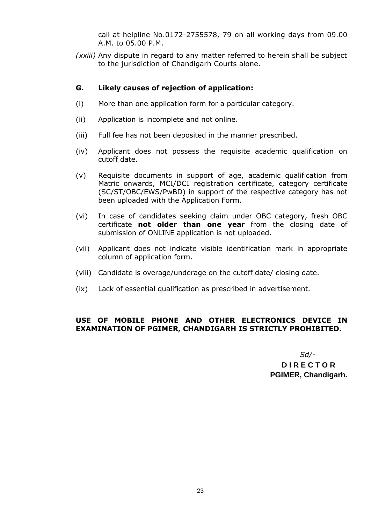call at helpline No.0172-2755578, 79 on all working days from 09.00 A.M. to 05.00 P.M.

*(xxiii)* Any dispute in regard to any matter referred to herein shall be subject to the jurisdiction of Chandigarh Courts alone.

#### **G. Likely causes of rejection of application:**

- (i) More than one application form for a particular category.
- (ii) Application is incomplete and not online.
- (iii) Full fee has not been deposited in the manner prescribed.
- (iv) Applicant does not possess the requisite academic qualification on cutoff date.
- (v) Requisite documents in support of age, academic qualification from Matric onwards, MCI/DCI registration certificate, category certificate (SC/ST/OBC/EWS/PwBD) in support of the respective category has not been uploaded with the Application Form.
- (vi) In case of candidates seeking claim under OBC category, fresh OBC certificate **not older than one year** from the closing date of submission of ONLINE application is not uploaded.
- (vii) Applicant does not indicate visible identification mark in appropriate column of application form.
- (viii) Candidate is overage/underage on the cutoff date/ closing date.
- (ix) Lack of essential qualification as prescribed in advertisement.

## **USE OF MOBILE PHONE AND OTHER ELECTRONICS DEVICE IN EXAMINATION OF PGIMER, CHANDIGARH IS STRICTLY PROHIBITED.**

*Sd/-*  **D I R E C T O R PGIMER, Chandigarh.**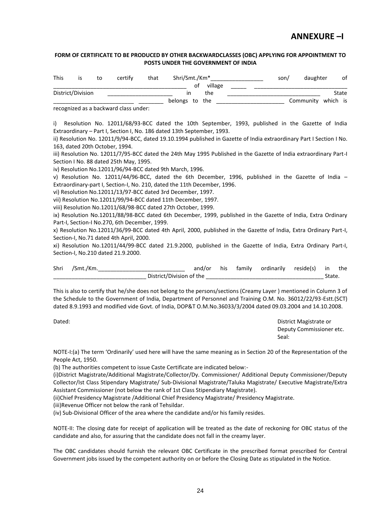# **ANNEXURE –I**

#### **FORM OF CERTIFICATE TO BE PRODUCED BY OTHER BACKWARDCLASSES (OBC) APPLYING FOR APPOINTMENT TO POSTS UNDER THE GOVERNMENT OF INDIA**

| <b>This</b> |                   | to | certify | that | Shri/Smt./Km <sup>*</sup> | son/ | daughter           |       | оf |
|-------------|-------------------|----|---------|------|---------------------------|------|--------------------|-------|----|
|             |                   |    |         |      | village<br>0t             |      |                    |       |    |
|             | District/Division |    |         |      | the<br>ın                 |      |                    | State |    |
|             |                   |    |         |      | belongs to the            |      | Community which is |       |    |

recognized as a backward class under:

i) Resolution No. 12011/68/93-BCC dated the 10th September, 1993, published in the Gazette of India Extraordinary – Part I, Section I, No. 186 dated 13th September, 1993.

ii) Resolution No. 12011/9/94-BCC, dated 19.10.1994 published in Gazette of India extraordinary Part I Section I No. 163, dated 20th October, 1994.

iii) Resolution No. 12011/7/95-BCC dated the 24th May 1995 Published in the Gazette of India extraordinary Part-I Section I No. 88 dated 25th May, 1995.

iv) Resolution No.12011/96/94-BCC dated 9th March, 1996.

v) Resolution No. 12011/44/96-BCC, dated the 6th December, 1996, published in the Gazette of India -Extraordinary-part I, Section-I, No. 210, dated the 11th December, 1996.

vi) Resolution No.12011/13/97-BCC dated 3rd December, 1997.

vii) Resolution No.12011/99/94-BCC dated 11th December, 1997.

viii) Resolution No.12011/68/98-BCC dated 27th October, 1999.

ix) Resolution No.12011/88/98-BCC dated 6th December, 1999, published in the Gazette of India, Extra Ordinary Part-I, Section-I No.270, 6th December, 1999.

x) Resolution No.12011/36/99-BCC dated 4th April, 2000, published in the Gazette of India, Extra Ordinary Part-I, Section-I, No.71 dated 4th April, 2000.

xi) Resolution No.12011/44/99-BCC dated 21.9.2000, published in the Gazette of India, Extra Ordinary Part-I, Section-I, No.210 dated 21.9.2000.

| Shri | /Smt./Km. |                          | and/or | his family | ordinarily | reside(s) in |       | the |
|------|-----------|--------------------------|--------|------------|------------|--------------|-------|-----|
|      |           | District/Division of the |        |            |            |              | State |     |

This is also to certify that he/she does not belong to the persons/sections (Creamy Layer ) mentioned in Column 3 of the Schedule to the Government of India, Department of Personnel and Training O.M. No. 36012/22/93-Estt.(SCT) dated 8.9.1993 and modified vide Govt. of India, DOP&T O.M.No.36033/3/2004 dated 09.03.2004 and 14.10.2008.

Dated: District Magistrate or Deputy Commissioner etc. Seal:

NOTE-I:(a) The term 'Ordinarily' used here will have the same meaning as in Section 20 of the Representation of the People Act, 1950.

(b) The authorities competent to issue Caste Certificate are indicated below:-

(i)District Magistrate/Additional Magistrate/Collector/Dy. Commissioner/ Additional Deputy Commissioner/Deputy Collector/Ist Class Stipendary Magistrate/ Sub-Divisional Magistrate/Taluka Magistrate/ Executive Magistrate/Extra Assistant Commissioner (not below the rank of 1st Class Stipendiary Magistrate).

(ii)Chief Presidency Magistrate /Additional Chief Presidency Magistrate/ Presidency Magistrate.

(iii)Revenue Officer not below the rank of Tehsildar.

(iv) Sub-Divisional Officer of the area where the candidate and/or his family resides.

NOTE-II: The closing date for receipt of application will be treated as the date of reckoning for OBC status of the candidate and also, for assuring that the candidate does not fall in the creamy layer.

The OBC candidates should furnish the relevant OBC Certificate in the prescribed format prescribed for Central Government jobs issued by the competent authority on or before the Closing Date as stipulated in the Notice.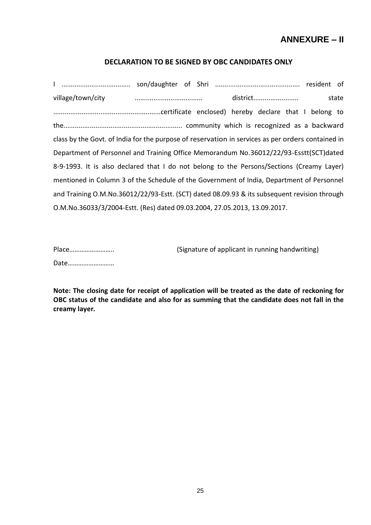# **ANNEXURE – II**

### **DECLARATION TO BE SIGNED BY OBC CANDIDATES ONLY**

I ..................................... son/daughter of Shri ............................................. resident of village/town/city .................................... district........................ state .........................................................certificate enclosed) hereby declare that I belong to the............................................................... community which is recognized as a backward class by the Govt. of India for the purpose of reservation in services as per orders contained in Department of Personnel and Training Office Memorandum No.36012/22/93-Esstt(SCT)dated 8-9-1993. It is also declared that I do not belong to the Persons/Sections (Creamy Layer) mentioned in Column 3 of the Schedule of the Government of India, Department of Personnel and Training O.M.No.36012/22/93-Estt. (SCT) dated 08.09.93 & its subsequent revision through O.M.No.36033/3/2004-Estt. (Res) dated 09.03.2004, 27.05.2013, 13.09.2017.

Date………………………

Place…………………….. (Signature of applicant in running handwriting)

**Note: The closing date for receipt of application will be treated as the date of reckoning for OBC status of the candidate and also for as summing that the candidate does not fall in the creamy layer.**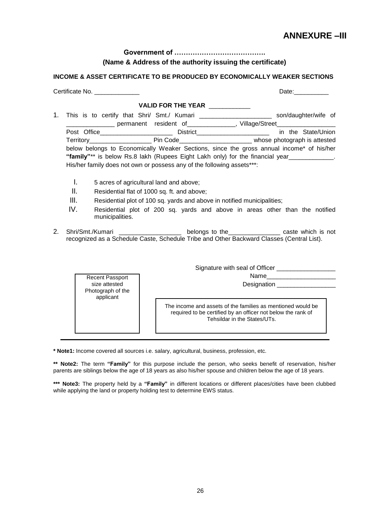# **ANNEXURE –III**

**Government of ………………………………….** 

#### **(Name & Address of the authority issuing the certificate)**

#### **INCOME & ASSET CERTIFICATE TO BE PRODUCED BY ECONOMICALLY WEAKER SECTIONS**

|                                                                                 | Certificate No.                                                        |                               | Date: the contract of the contract of the contract of the contract of the contract of the contract of the contract of the contract of the contract of the contract of the contract of the contract of the contract of the cont |  |
|---------------------------------------------------------------------------------|------------------------------------------------------------------------|-------------------------------|--------------------------------------------------------------------------------------------------------------------------------------------------------------------------------------------------------------------------------|--|
|                                                                                 |                                                                        | VALID FOR THE YEAR __________ |                                                                                                                                                                                                                                |  |
| 1.                                                                              |                                                                        |                               | This is to certify that Shri/ Smt./ Kumari ________________________ son/daughter/wife of<br>____________________ permanent resident of________________, Village/Street_________________________                                |  |
|                                                                                 |                                                                        |                               | Post Office_________________________________District_____________________________ in the State/Union                                                                                                                           |  |
|                                                                                 |                                                                        |                               | Territory______________________________Pin Code______________________________whose photograph is attested                                                                                                                      |  |
|                                                                                 | His/her family does not own or possess any of the following assets***: |                               | below belongs to Economically Weaker Sections, since the gross annual income* of his/her<br>"family"** is below Rs.8 lakh (Rupees Eight Lakh only) for the financial year____________.                                         |  |
|                                                                                 | Τ.<br>5 acres of agricultural land and above;                          |                               |                                                                                                                                                                                                                                |  |
|                                                                                 | Ш.<br>Residential flat of 1000 sq. ft. and above;                      |                               |                                                                                                                                                                                                                                |  |
| III.<br>Residential plot of 100 sq. yards and above in notified municipalities; |                                                                        |                               |                                                                                                                                                                                                                                |  |
|                                                                                 | IV.<br>municipalities.                                                 |                               | Residential plot of 200 sq. yards and above in areas other than the notified                                                                                                                                                   |  |
| 2.                                                                              |                                                                        |                               | Shri/Smt./Kumari _____________________ belongs to the_______________ caste which is not<br>recognized as a Schedule Caste, Schedule Tribe and Other Backward Classes (Central List).                                           |  |
| Signature with seal of Officer _____________________                            |                                                                        |                               |                                                                                                                                                                                                                                |  |
|                                                                                 | Recent Passport                                                        |                               | Name_________________________                                                                                                                                                                                                  |  |
|                                                                                 | size attested<br>Photograph of the<br>applicant                        |                               | Designation __________________                                                                                                                                                                                                 |  |
|                                                                                 |                                                                        |                               | The income and assets of the families as mentioned would be<br>required to be certified by an officer not below the rank of<br>Tehsildar in the States/UTs.                                                                    |  |

**\* Note1:** Income covered all sources i.e. salary, agricultural, business, profession, etc.

**\*\* Note2:** The term **"Family"** for this purpose include the person, who seeks benefit of reservation, his/her parents are siblings below the age of 18 years as also his/her spouse and children below the age of 18 years.

**\*\*\* Note3:** The property held by a **"Family"** in different locations or different places/cities have been clubbed while applying the land or property holding test to determine EWS status.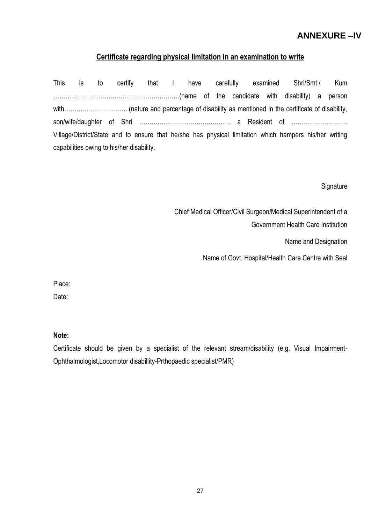# **ANNEXURE –IV**

## **Certificate regarding physical limitation in an examination to write**

This is to certify that I have carefully examined Shri/Smt./ Kum ……………………………………………….…….(name of the candidate with disability) a person with…………………………..(nature and percentage of disability as mentioned in the certificate of disability, son/wife/daughter of Shri …………………………….……..… a Resident of ……………….….….. Village/District/State and to ensure that he/she has physical limitation which hampers his/her writing capabilities owing to his/her disability.

**Signature** 

Chief Medical Officer/Civil Surgeon/Medical Superintendent of a Government Health Care Institution

Name and Designation

Name of Govt. Hospital/Health Care Centre with Seal

Place:

Date:

**Note:**

Certificate should be given by a specialist of the relevant stream/disability (e.g. Visual Impairment-Ophthalmologist,Locomotor disabillity-Prthopaedic specialist/PMR)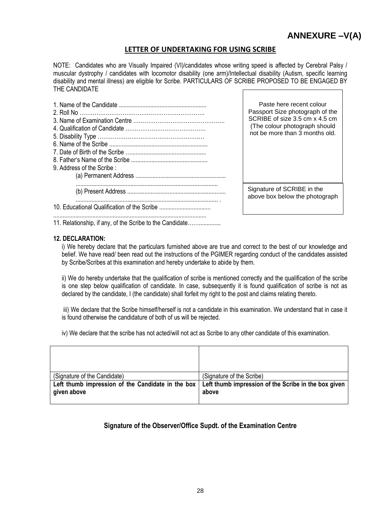#### **LETTER OF UNDERTAKING FOR USING SCRIBE**

NOTE: Candidates who are Visually Impaired (VI)/candidates whose writing speed is affected by Cerebral Palsy / muscular dystrophy / candidates with locomotor disability (one arm)/Intellectual disability (Autism, specific learning disability and mental illness) are eligible for Scribe. PARTICULARS OF SCRIBE PROPOSED TO BE ENGAGED BY THE CANDIDATE

| 9. Address of the Scribe: | Paste here recent colour<br>Passport Size photograph of the<br>SCRIBE of size 3.5 cm x 4.5 cm<br>(The colour photograph should<br>not be more than 3 months old. |  |
|---------------------------|------------------------------------------------------------------------------------------------------------------------------------------------------------------|--|
|                           | Signature of SCRIBE in the<br>above box below the photograph                                                                                                     |  |
|                           |                                                                                                                                                                  |  |

11. Relationship, if any, of the Scribe to the Candidate……..............

#### **12. DECLARATION:**

i) We hereby declare that the particulars furnished above are true and correct to the best of our knowledge and belief. We have read/ been read out the instructions of the PGIMER regarding conduct of the candidates assisted by Scribe/Scribes at this examination and hereby undertake to abide by them.

ii) We do hereby undertake that the qualification of scribe is mentioned correctly and the qualification of the scribe is one step below qualification of candidate. In case, subsequently it is found qualification of scribe is not as declared by the candidate, I (the candidate) shall forfeit my right to the post and claims relating thereto.

iii) We declare that the Scribe himself/herself is not a candidate in this examination. We understand that in case it is found otherwise the candidature of both of us will be rejected.

iv) We declare that the scribe has not acted/will not act as Scribe to any other candidate of this examination.

| (Signature of the Candidate)                                       | (Signature of the Scribe)                                     |
|--------------------------------------------------------------------|---------------------------------------------------------------|
| Left thumb impression of the Candidate in the box  <br>given above | Left thumb impression of the Scribe in the box given<br>above |

### **Signature of the Observer/Office Supdt. of the Examination Centre**